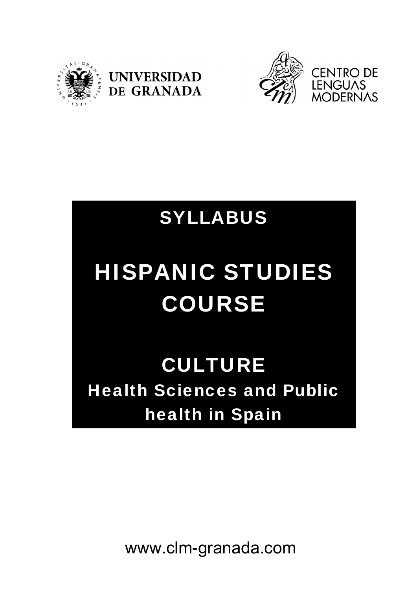





# SYLLABUS

# HISPANIC STUDIES COURSE

**CULTURE** Health Sciences and Public health in Spain

www.clm-granada.com